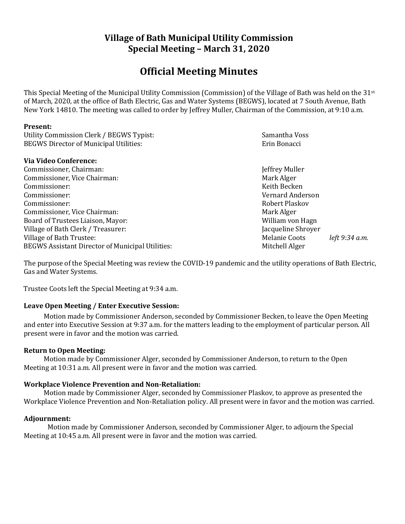# **Village of Bath Municipal Utility Commission Special Meeting – March 31, 2020**

# **Official Meeting Minutes**

This Special Meeting of the Municipal Utility Commission (Commission) of the Village of Bath was held on the 31st of March, 2020, at the office of Bath Electric, Gas and Water Systems (BEGWS), located at 7 South Avenue, Bath New York 14810. The meeting was called to order by Jeffrey Muller, Chairman of the Commission, at 9:10 a.m.

#### **Present:**

| Utility Commission Clerk / BEGWS Typist:         | Samantha Voss                   |  |
|--------------------------------------------------|---------------------------------|--|
| <b>BEGWS Director of Municipal Utilities:</b>    | Erin Bonacci                    |  |
| Via Video Conference:                            |                                 |  |
| Commissioner, Chairman:                          | Jeffrey Muller                  |  |
| Commissioner, Vice Chairman:                     | Mark Alger                      |  |
| Commissioner:                                    | Keith Becken                    |  |
| Commissioner:                                    | Vernard Anderson                |  |
| Commissioner:                                    | Robert Plaskov                  |  |
| Commissioner, Vice Chairman:                     | Mark Alger                      |  |
| Board of Trustees Liaison, Mayor:                | William von Hagn                |  |
| Village of Bath Clerk / Treasurer:               | Jacqueline Shroyer              |  |
| Village of Bath Trustee:                         | Melanie Coots<br>left 9:34 a.m. |  |
| BEGWS Assistant Director of Municipal Utilities: | Mitchell Alger                  |  |
|                                                  |                                 |  |

The purpose of the Special Meeting was review the COVID-19 pandemic and the utility operations of Bath Electric, Gas and Water Systems.

Trustee Coots left the Special Meeting at 9:34 a.m.

## **Leave Open Meeting / Enter Executive Session:**

Motion made by Commissioner Anderson, seconded by Commissioner Becken, to leave the Open Meeting and enter into Executive Session at 9:37 a.m. for the matters leading to the employment of particular person. All present were in favor and the motion was carried.

#### **Return to Open Meeting:**

Motion made by Commissioner Alger, seconded by Commissioner Anderson, to return to the Open Meeting at 10:31 a.m. All present were in favor and the motion was carried.

## **Workplace Violence Prevention and Non-Retaliation:**

Motion made by Commissioner Alger, seconded by Commissioner Plaskov, to approve as presented the Workplace Violence Prevention and Non-Retaliation policy. All present were in favor and the motion was carried.

## **Adjournment:**

Motion made by Commissioner Anderson, seconded by Commissioner Alger, to adjourn the Special Meeting at 10:45 a.m. All present were in favor and the motion was carried.